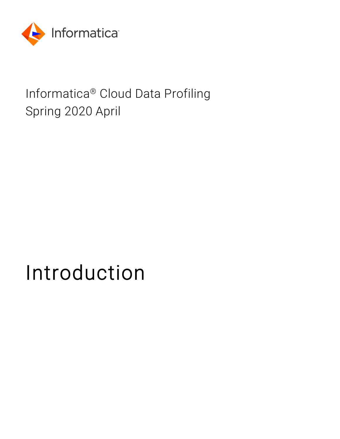

# Informatica® Cloud Data Profiling Spring 2020 April

# Introduction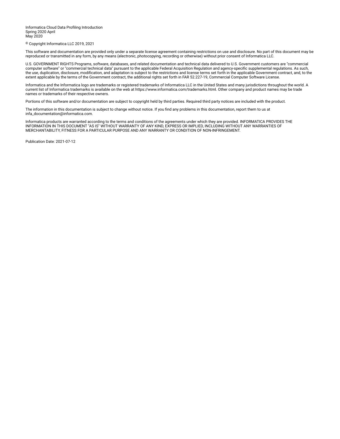Informatica Cloud Data Profiling Introduction Spring 2020 April May 2020

© Copyright Informatica LLC 2019, 2021

This software and documentation are provided only under a separate license agreement containing restrictions on use and disclosure. No part of this document may be reproduced or transmitted in any form, by any means (electronic, photocopying, recording or otherwise) without prior consent of Informatica LLC.

U.S. GOVERNMENT RIGHTS Programs, software, databases, and related documentation and technical data delivered to U.S. Government customers are "commercial computer software" or "commercial technical data" pursuant to the applicable Federal Acquisition Regulation and agency-specific supplemental regulations. As such, the use, duplication, disclosure, modification, and adaptation is subject to the restrictions and license terms set forth in the applicable Government contract, and, to the extent applicable by the terms of the Government contract, the additional rights set forth in FAR 52.227-19, Commercial Computer Software License.

Informatica and the Informatica logo are trademarks or registered trademarks of Informatica LLC in the United States and many jurisdictions throughout the world. A current list of Informatica trademarks is available on the web at https://www.informatica.com/trademarks.html. Other company and product names may be trade names or trademarks of their respective owners.

Portions of this software and/or documentation are subject to copyright held by third parties. Required third party notices are included with the product.

The information in this documentation is subject to change without notice. If you find any problems in this documentation, report them to us at infa\_documentation@informatica.com.

Informatica products are warranted according to the terms and conditions of the agreements under which they are provided. INFORMATICA PROVIDES THE INFORMATION IN THIS DOCUMENT "AS IS" WITHOUT WARRANTY OF ANY KIND, EXPRESS OR IMPLIED, INCLUDING WITHOUT ANY WARRANTIES OF MERCHANTABILITY, FITNESS FOR A PARTICULAR PURPOSE AND ANY WARRANTY OR CONDITION OF NON-INFRINGEMENT.

Publication Date: 2021-07-12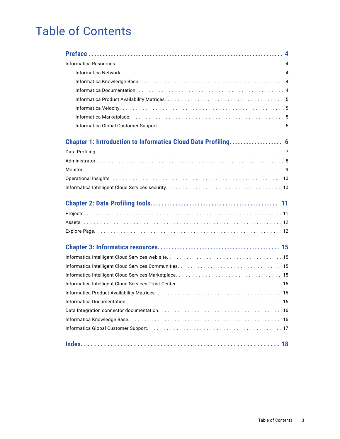# Table of Contents

| 18 |
|----|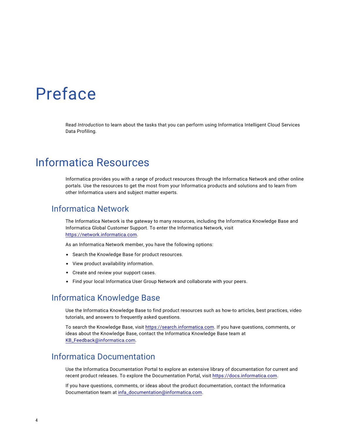# <span id="page-3-0"></span>Preface

Read *Introduction* to learn about the tasks that you can perform using Informatica Intelligent Cloud Services Data Profiling.

# Informatica Resources

Informatica provides you with a range of product resources through the Informatica Network and other online portals. Use the resources to get the most from your Informatica products and solutions and to learn from other Informatica users and subject matter experts.

#### Informatica Network

The Informatica Network is the gateway to many resources, including the Informatica Knowledge Base and Informatica Global Customer Support. To enter the Informatica Network, visit [https://network.informatica.com.](https://network.informatica.com)

As an Informatica Network member, you have the following options:

- **•** Search the Knowledge Base for product resources.
- **•** View product availability information.
- **•** Create and review your support cases.
- **•** Find your local Informatica User Group Network and collaborate with your peers.

#### Informatica Knowledge Base

Use the Informatica Knowledge Base to find product resources such as how-to articles, best practices, video tutorials, and answers to frequently asked questions.

To search the Knowledge Base, visit [https://search.informatica.com.](http://search.informatica.com) If you have questions, comments, or ideas about the Knowledge Base, contact the Informatica Knowledge Base team at [KB\\_Feedback@informatica.com.](mailto:KB_Feedback@informatica.com)

#### Informatica Documentation

Use the Informatica Documentation Portal to explore an extensive library of documentation for current and recent product releases. To explore the Documentation Portal, visit <https://docs.informatica.com>.

If you have questions, comments, or ideas about the product documentation, contact the Informatica Documentation team at [infa\\_documentation@informatica.com.](mailto:infa_documentation@informatica.com)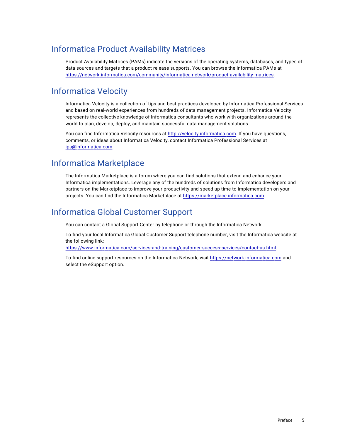#### <span id="page-4-0"></span>Informatica Product Availability Matrices

Product Availability Matrices (PAMs) indicate the versions of the operating systems, databases, and types of data sources and targets that a product release supports. You can browse the Informatica PAMs at [https://network.informatica.com/community/informatica-network/product-availability-matrices.](https://network.informatica.com/community/informatica-network/product-availability-matrices)

#### Informatica Velocity

Informatica Velocity is a collection of tips and best practices developed by Informatica Professional Services and based on real-world experiences from hundreds of data management projects. Informatica Velocity represents the collective knowledge of Informatica consultants who work with organizations around the world to plan, develop, deploy, and maintain successful data management solutions.

You can find Informatica Velocity resources at<http://velocity.informatica.com>. If you have questions, comments, or ideas about Informatica Velocity, contact Informatica Professional Services at [ips@informatica.com](mailto:ips@informatica.com).

#### Informatica Marketplace

The Informatica Marketplace is a forum where you can find solutions that extend and enhance your Informatica implementations. Leverage any of the hundreds of solutions from Informatica developers and partners on the Marketplace to improve your productivity and speed up time to implementation on your projects. You can find the Informatica Marketplace at [https://marketplace.informatica.com.](https://marketplace.informatica.com)

#### Informatica Global Customer Support

You can contact a Global Support Center by telephone or through the Informatica Network.

To find your local Informatica Global Customer Support telephone number, visit the Informatica website at the following link:

<https://www.informatica.com/services-and-training/customer-success-services/contact-us.html>.

To find online support resources on the Informatica Network, visit [https://network.informatica.com](http://network.informatica.com) and select the eSupport option.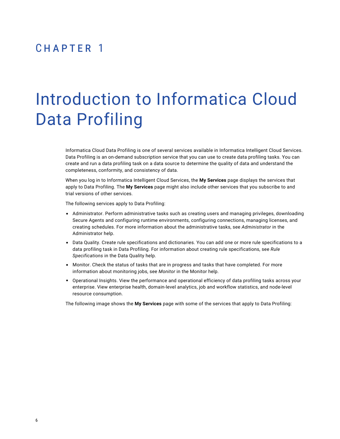### <span id="page-5-0"></span>CHAPTER 1

# Introduction to Informatica Cloud Data Profiling

Informatica Cloud Data Profiling is one of several services available in Informatica Intelligent Cloud Services. Data Profiling is an on-demand subscription service that you can use to create data profiling tasks. You can create and run a data profiling task on a data source to determine the quality of data and understand the completeness, conformity, and consistency of data.

When you log in to Informatica Intelligent Cloud Services, the **My Services** page displays the services that apply to Data Profiling. The **My Services** page might also include other services that you subscribe to and trial versions of other services.

The following services apply to Data Profiling:

- **•** Administrator. Perform administrative tasks such as creating users and managing privileges, downloading Secure Agents and configuring runtime environments, configuring connections, managing licenses, and creating schedules. For more information about the administrative tasks, see *Administrator* in the Administrator help.
- **•** Data Quality. Create rule specifications and dictionaries. You can add one or more rule specifications to a data profiling task in Data Profiling. For information about creating rule specifications, see *Rule Specifications* in the Data Quality help.
- **•** Monitor. Check the status of tasks that are in progress and tasks that have completed. For more information about monitoring jobs, see *Monitor* in the Monitor help.
- **•** Operational Insights. View the performance and operational efficiency of data profiling tasks across your enterprise. View enterprise health, domain-level analytics, job and workflow statistics, and node-level resource consumption.

The following image shows the **My Services** page with some of the services that apply to Data Profiling: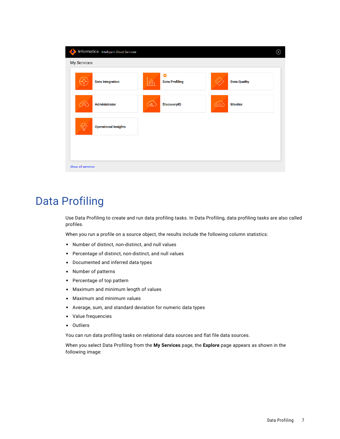<span id="page-6-0"></span>

| <b>My Services</b><br><b>Data Integration</b> | o<br>Жĥ<br><b>Data Profiling</b>     | <b>Data Quality</b> |
|-----------------------------------------------|--------------------------------------|---------------------|
| Administrator                                 | $\binom{1}{0}$<br><b>DiscoveryIQ</b> | <b>Monitor</b><br>K |
| <b>Operational Insights</b>                   |                                      |                     |
|                                               |                                      |                     |

# Data Profiling

Use Data Profiling to create and run data profiling tasks. In Data Profiling, data profiling tasks are also called profiles.

When you run a profile on a source object, the results include the following column statistics:

- **•** Number of distinct, non-distinct, and null values
- **•** Percentage of distinct, non-distinct, and null values
- **•** Documented and inferred data types
- **•** Number of patterns
- **•** Percentage of top pattern
- **•** Maximum and minimum length of values
- **•** Maximum and minimum values
- **•** Average, sum, and standard deviation for numeric data types
- **•** Value frequencies
- **•** Outliers

You can run data profiling tasks on relational data sources and flat file data sources.

When you select Data Profiling from the **My Services** page, the **Explore** page appears as shown in the following image: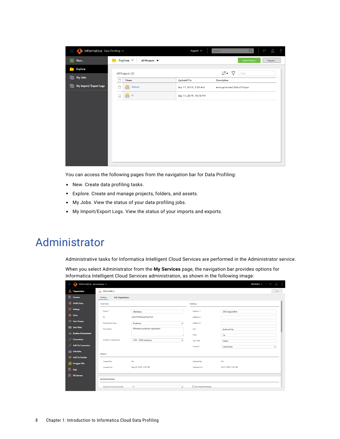<span id="page-7-0"></span>

| Informatica Data Profiling V<br>I |                                                          | $\overline{\Gamma}$<br>R<br>Q<br>$\overline{\phantom{0}}$<br>Asgard $\vee$<br>Search |
|-----------------------------------|----------------------------------------------------------|--------------------------------------------------------------------------------------|
| Œ.<br>New                         | Explore $\vee$<br>All Projects $\blacktriangledown$<br>- | New Project<br>Import                                                                |
| <b>Explore</b>                    | All Projects (2)                                         | $\downarrow \uparrow$ $\downarrow$ $\heartsuit$<br>Find                              |
| la.<br>My Jobs                    | Name                                                     | <b>Updated On</b><br><b>Description</b>                                              |
| My Import/Export Logs<br>Œ        | Default<br>П<br>ਰ                                        | Sep 11, 2019, 5:20 AM<br>Auto-generated Default Project                              |
|                                   | fn.<br>$\Box$<br>$\blacksquare$                          | Sep 11, 2019, 10:18 PM                                                               |
|                                   |                                                          |                                                                                      |
|                                   |                                                          |                                                                                      |
|                                   |                                                          |                                                                                      |
|                                   |                                                          |                                                                                      |
|                                   |                                                          |                                                                                      |
|                                   |                                                          |                                                                                      |
|                                   |                                                          |                                                                                      |

You can access the following pages from the navigation bar for Data Profiling:

- **•** New. Create data profiling tasks.
- **•** Explore. Create and manage projects, folders, and assets.
- **•** My Jobs. View the status of your data profiling jobs.
- **•** My Import/Export Logs. View the status of your imports and exports.

# Administrator

Administrative tasks for Informatica Intelligent Cloud Services are performed in the Administrator service.

When you select Administrator from the **My Services** page, the navigation bar provides options for Informatica Intelligent Cloud Services administration, as shown in the following image:

| I              | Informatica Administrator $\vee$ |                                      |                                     |         |                       | $\mathfrak{L}% _{A}^{\alpha\beta}$<br>Informatica $\vee$<br>P<br>$\overline{\phantom{0}}$ |
|----------------|----------------------------------|--------------------------------------|-------------------------------------|---------|-----------------------|-------------------------------------------------------------------------------------------|
|                | <b>A</b> Organization            | <b>A</b> Informatica                 |                                     |         |                       | Save                                                                                      |
|                | <b>Executive</b> Licenses        | Sub-Organizations<br><b>Settings</b> |                                     |         |                       |                                                                                           |
|                | SAML Setup                       | Overview                             |                                     |         | Address               |                                                                                           |
|                | Settings                         | Namo:*                               | Informatica                         |         | Address 1:            | 2100 Seaport Blvd                                                                         |
|                | 2 Users                          | ID:                                  | 2ij4X7Pd63ibnquEQyy9wA              |         | Address 2:            |                                                                                           |
|                | <b>AL</b> User Groups            | <b>Environment Type:</b>             | Production                          | ۰       | Address 3:            |                                                                                           |
|                | <b>B</b> User Roles              | Description:                         | Informatica production organization |         | City:                 | <b>Redwood City</b>                                                                       |
| <b>ART</b>     | <b>Runtime Environments</b>      |                                      |                                     |         | State:                | CA                                                                                        |
|                | Connections                      | Number of Employees:                 | 1001 - 5000 employees               |         | Zip Code:             | 94063                                                                                     |
|                | <b>Add-On Connectors</b>         |                                      |                                     |         | Country:"             | <b>United States</b><br>٠                                                                 |
|                | <b>Schedules</b>                 | History                              |                                     |         |                       |                                                                                           |
|                | <b>Add-On Bundles</b>            | Created By:                          | ma                                  |         | <b>Updated By:</b>    | ma                                                                                        |
|                | Swagger Files                    | Created On:                          | Aug 23, 2019, 3:27 PM               |         | <b>Updated On:</b>    | Oct 9, 2019, 3:41 PM                                                                      |
| <b>Re</b> Logs |                                  |                                      |                                     |         |                       |                                                                                           |
|                | <b>By</b> File Servers           | Authentication                       |                                     |         |                       |                                                                                           |
|                |                                  |                                      |                                     |         |                       |                                                                                           |
|                |                                  | Minimum Password Lonath:             | $\bullet$                           | $\cdot$ | Use Trusted IP Ranges |                                                                                           |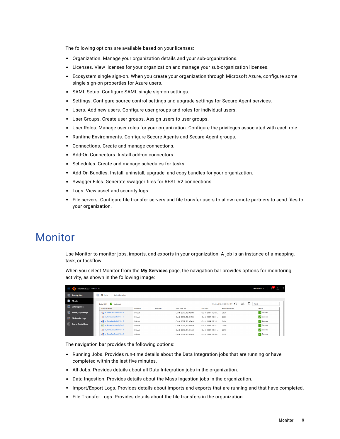<span id="page-8-0"></span>The following options are available based on your licenses:

- **•** Organization. Manage your organization details and your sub-organizations.
- **•** Licenses. View licenses for your organization and manage your sub-organization licenses.
- **•** Ecosystem single sign-on. When you create your organization through Microsoft Azure, configure some single sign-on properties for Azure users.
- **•** SAML Setup. Configure SAML single sign-on settings.
- **•** Settings. Configure source control settings and upgrade settings for Secure Agent services.
- **•** Users. Add new users. Configure user groups and roles for individual users.
- **•** User Groups. Create user groups. Assign users to user groups.
- **•** User Roles. Manage user roles for your organization. Configure the privileges associated with each role.
- **•** Runtime Environments. Configure Secure Agents and Secure Agent groups.
- **•** Connections. Create and manage connections.
- **•** Add-On Connectors. Install add-on connectors.
- **•** Schedules. Create and manage schedules for tasks.
- **•** Add-On Bundles. Install, uninstall, upgrade, and copy bundles for your organization.
- **•** Swagger Files. Generate swagger files for REST V2 connections.
- **•** Logs. View asset and security logs.
- **•** File servers. Configure file transfer servers and file transfer users to allow remote partners to send files to your organization.

### Monitor

Use Monitor to monitor jobs, imports, and exports in your organization. A job is an instance of a mapping, task, or taskflow.

When you select Monitor from the **My Services** page, the navigation bar provides options for monitoring activity, as shown in the following image:

| Informatica $\vee$<br>I<br>Informatica Monitor $\sim$ |                                               |          |                 |                                 |                    |                                           |                              |
|-------------------------------------------------------|-----------------------------------------------|----------|-----------------|---------------------------------|--------------------|-------------------------------------------|------------------------------|
| Running Jobs                                          | <b>IB</b> All Jobs<br><b>Data Integration</b> |          |                 |                                 |                    |                                           |                              |
| adol IIA                                              | Jobs (76) M Up to date                        |          |                 |                                 |                    | Updated 12:45:58 PM PDT $\bigodot$<br>Jî• | 7<br>Find                    |
| <b>Data Ingestion</b>                                 | <b>Instance Name</b>                          | Location | <b>Subtasks</b> | Start Time $\blacktriangledown$ | <b>End Time</b>    | <b>Rows Processed</b>                     | <b>Status</b>                |
| Import/Export Logs                                    | -Em_RouteCustDataByTier-6                     | Default  |                 | Oct 4, 2019, 12:02 PM           | Oct 4, 2019, 12:02 | 2528                                      | V Success                    |
| File Transfer Logs                                    | -Em_RouteCustDataByTier-5                     | Default  |                 | Oct 4, 2019, 12:01 PM           | Oct 4, 2019, 12:01 | 2528                                      | V Success                    |
|                                                       | -Em_RouteCustDataByTier-4                     | Default  |                 | Oct 4, 2019, 11:35 AM           | Oct 4, 2019, 11:35 | 2604                                      | V Success                    |
| Source Control Logs                                   | -E mt_RouteCustDataByTier-1                   | Default  |                 | Oct 4, 2019, 11:33 AM           | Oct 4, 2019, 11:34 | 2499                                      | $\sqrt{\phantom{a}}$ Success |
|                                                       | -Em_RouteCustDataByTier-3                     | Default  |                 | Oct 4, 2019, 11:31 AM           | Oct 4, 2019, 11:31 | 2792                                      | V Success                    |
|                                                       | -Em_RouteCustDataByTier-2                     | Default  |                 | Oct 4, 2019, 11:30 AM           | Oct 4, 2019, 11:30 | 2528                                      | V Success                    |

The navigation bar provides the following options:

- **•** Running Jobs. Provides run-time details about the Data Integration jobs that are running or have completed within the last five minutes.
- **•** All Jobs. Provides details about all Data Integration jobs in the organization.
- **•** Data Ingestion. Provides details about the Mass Ingestion jobs in the organization.
- **•** Import/Export Logs. Provides details about imports and exports that are running and that have completed.
- **•** File Transfer Logs. Provides details about the file transfers in the organization.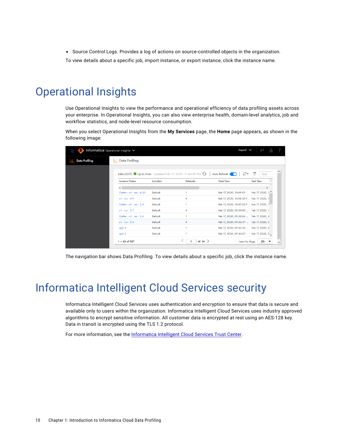<span id="page-9-0"></span>**•** Source Control Logs. Provides a log of actions on source-controlled objects in the organization.

To view details about a specific job, import instance, or export instance, click the instance name.

# Operational Insights

Use Operational Insights to view the performance and operational efficiency of data profiling assets across your enterprise. In Operational Insights, you can also view enterprise health, domain-level analytics, job and workflow statistics, and node-level resource consumption.

When you select Operational Insights from the **My Services** page, the **Home** page appears, as shown in the following image:

|                       | Asgard V<br>Informatica Operational Insights V |          |                                                                                   |                                          |                 |  |
|-----------------------|------------------------------------------------|----------|-----------------------------------------------------------------------------------|------------------------------------------|-----------------|--|
| <b>Data Profiling</b> | III <sub>I</sub> Data Profiling                |          |                                                                                   |                                          |                 |  |
|                       |                                                |          | Jobs (327) $\blacksquare$ Up to Date Updated Feb 17, 2020, 11:40:39 PM $\bigodot$ | Auto Refresh                             | 9<br>Find       |  |
|                       | <b>Instance Name</b>                           | Location | <b>Subtasks</b>                                                                   | <b>Start Time</b>                        | <b>End Time</b> |  |
|                       | $\,$ $\,$                                      |          |                                                                                   |                                          | $\rightarrow$   |  |
|                       | Outlier - x1 - run - 4-10                      | Default  |                                                                                   | Feb 17, 2020, 10:09:53  Feb 17, 2020, 1. |                 |  |
|                       | $x1 - run - 4-9$                               | Default  | 4                                                                                 | Feb 17, 2020, 10:08:35 P Feb 17, 2020, 1 |                 |  |
|                       | Outlier - $x1 - run - 3-8$                     | Default  |                                                                                   | Feb 17, 2020, 10:00:20 P Feb 17, 2020, 1 |                 |  |
|                       | $x1 - run - 3 - 7$                             | Default  | 4                                                                                 | Feb 17, 2020, 09:59:00  Feb 17, 2020, 1  |                 |  |
|                       | Outlier - $x1 - run - 2-6$                     | Default  | 1                                                                                 | Feb 17, 2020, 09:58:06  Feb 17, 2020, 0  |                 |  |
|                       | $x1 - run - 2-5$                               | Default  | 4                                                                                 | Feb 17, 2020, 09:56:47  Feb 17, 2020, 0  |                 |  |
|                       | $qq2-4$                                        | Default  | 1                                                                                 | Feb 17, 2020, 09:45:24  Feb 17, 2020, 0  |                 |  |
|                       | $qq1-3$                                        | Default  |                                                                                   | Feb 17, 2020, 09:45:07  Feb 17, 2020, 0  |                 |  |
|                       | $1 - 25$ of 327                                |          | of 14 $>$                                                                         | Items Per Page:                          | 25              |  |

The navigation bar shows Data Profiling. To view details about a specific job, click the instance name.

# Informatica Intelligent Cloud Services security

Informatica Intelligent Cloud Services uses authentication and encryption to ensure that data is secure and available only to users within the organization. Informatica Intelligent Cloud Services uses industry approved algorithms to encrypt sensitive information. All customer data is encrypted at rest using an AES-128 key. Data in transit is encrypted using the TLS 1.2 protocol.

For more information, see the [Informatica](https://www.informatica.com/trust-center.html) Intelligent Cloud Services Trust Center.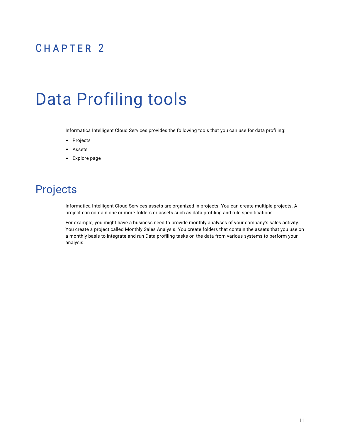# <span id="page-10-0"></span>CHAPTER 2

# Data Profiling tools

Informatica Intelligent Cloud Services provides the following tools that you can use for data profiling:

- **•** Projects
- **•** Assets
- **•** Explore page

# Projects

Informatica Intelligent Cloud Services assets are organized in projects. You can create multiple projects. A project can contain one or more folders or assets such as data profiling and rule specifications.

For example, you might have a business need to provide monthly analyses of your company's sales activity. You create a project called Monthly Sales Analysis. You create folders that contain the assets that you use on a monthly basis to integrate and run Data profiling tasks on the data from various systems to perform your analysis.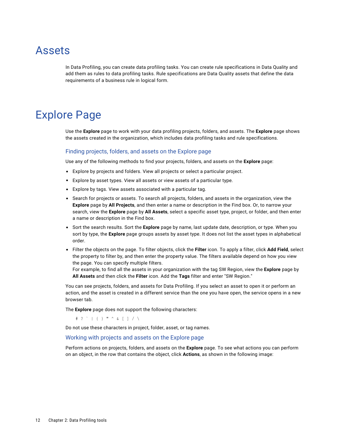### <span id="page-11-0"></span>Assets

In Data Profiling, you can create data profiling tasks. You can create rule specifications in Data Quality and add them as rules to data profiling tasks. Rule specifications are Data Quality assets that define the data requirements of a business rule in logical form.

# Explore Page

Use the **Explore** page to work with your data profiling projects, folders, and assets. The **Explore** page shows the assets created in the organization, which includes data profiling tasks and rule specifications.

#### Finding projects, folders, and assets on the Explore page

Use any of the following methods to find your projects, folders, and assets on the **Explore** page:

- **•** Explore by projects and folders. View all projects or select a particular project.
- **•** Explore by asset types. View all assets or view assets of a particular type.
- **•** Explore by tags. View assets associated with a particular tag.
- **•** Search for projects or assets. To search all projects, folders, and assets in the organization, view the **Explore** page by **All Projects**, and then enter a name or description in the Find box. Or, to narrow your search, view the **Explore** page by **All Assets**, select a specific asset type, project, or folder, and then enter a name or description in the Find box.
- **•** Sort the search results. Sort the **Explore** page by name, last update date, description, or type. When you sort by type, the **Explore** page groups assets by asset type. It does not list the asset types in alphabetical order.
- **•** Filter the objects on the page. To filter objects, click the **Filter** icon. To apply a filter, click **Add Field**, select the property to filter by, and then enter the property value. The filters available depend on how you view the page. You can specify multiple filters.

For example, to find all the assets in your organization with the tag SW Region, view the **Explore** page by **All Assets** and then click the **Filter** icon. Add the **Tags** filter and enter "SW Region."

You can see projects, folders, and assets for Data Profiling. If you select an asset to open it or perform an action, and the asset is created in a different service than the one you have open, the service opens in a new browser tab.

The **Explore** page does not support the following characters:

 $\#$  ? ` | { } " ^ & [ ] / \

Do not use these characters in project, folder, asset, or tag names.

#### Working with projects and assets on the Explore page

Perform actions on projects, folders, and assets on the **Explore** page. To see what actions you can perform on an object, in the row that contains the object, click **Actions**, as shown in the following image: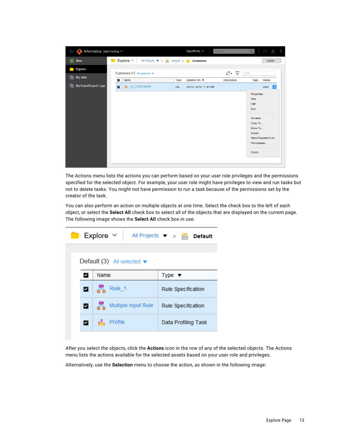|       | Informatica Data Profiling V |                                   | HypoStores ~                                                          | Q<br>Search                                    | 8?<br>P                                                                               |
|-------|------------------------------|-----------------------------------|-----------------------------------------------------------------------|------------------------------------------------|---------------------------------------------------------------------------------------|
| $\pm$ | New                          | Explore $\vee$                    | All Projects $\bullet \quad \bullet \quad$ Default > <b>Customers</b> |                                                | Import                                                                                |
|       | <b>Explore</b>               | Customers (1) All selected v      |                                                                       | $\downarrow \uparrow$ $\downarrow$<br>Find     |                                                                                       |
| le.   | My Jobs                      | $\checkmark$<br>Name              | Updated On $\blacktriangledown$<br>Type                               | <b>Description</b><br>Tags                     | <b>Status</b>                                                                         |
| IA    | My Import/Export Logs        | I. LA_CUSTOMERS<br>$\blacksquare$ | Oct 24, 2019, 11:43 PM<br>Da                                          |                                                | $\frac{8}{2}$<br>Valid                                                                |
|       |                              |                                   |                                                                       | View<br>Edit<br>Run<br>Export<br><b>Delete</b> | Properties<br>Rename<br>Copy To<br>Move To<br><b>Show Dependencies</b><br>Permissions |

The Actions menu lists the actions you can perform based on your user role privileges and the permissions specified for the selected object. For example, your user role might have privileges to view and run tasks but not to delete tasks. You might not have permission to run a task because of the permissions set by the creator of the task.

You can also perform an action on multiple objects at one time. Select the check box to the left of each object, or select the **Select All** check box to select all of the objects that are displayed on the current page. The following image shows the **Select All** check box in use:

| <b>Explore</b> $\vee$ All Projects $\vee$ > <b>B</b> Default<br>œ |                                                 |                           |  |  |  |
|-------------------------------------------------------------------|-------------------------------------------------|---------------------------|--|--|--|
|                                                                   | Default $(3)$ All selected $\blacktriangledown$ |                           |  |  |  |
| ✔                                                                 | Name                                            | Type $\bullet$            |  |  |  |
| ◘                                                                 | 훎<br>Rule_1                                     | <b>Rule Specification</b> |  |  |  |
| M.                                                                | Multiple Input Rule                             | <b>Rule Specification</b> |  |  |  |
| M.                                                                | Profile                                         | Data Profiling Task       |  |  |  |

After you select the objects, click the **Actions** icon in the row of any of the selected objects. The Actions menu lists the actions available for the selected assets based on your user role and privileges.

Alternatively, use the **Selection** menu to choose the action, as shown in the following image: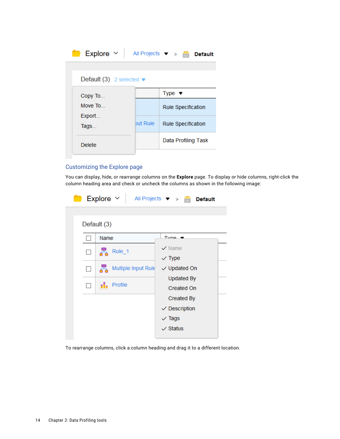| All Projects $\bullet$ >                    | <b>Default</b><br>m       |
|---------------------------------------------|---------------------------|
| Default (3) 2 selected $\blacktriangledown$ |                           |
|                                             | Type $\bullet$            |
|                                             | <b>Rule Specification</b> |
| but Rule                                    | <b>Rule Specification</b> |
|                                             | Data Profiling Task       |
|                                             |                           |

#### Customizing the Explore page

You can display, hide, or rearrange columns on the **Explore** page. To display or hide columns, right-click the column heading area and check or uncheck the columns as shown in the following image:

|         | Explore $\vee$           | All Projects $\blacktriangledown$ > $\blacksquare$ Default |
|---------|--------------------------|------------------------------------------------------------|
|         | Default (3)              |                                                            |
|         | Name                     | Tyna                                                       |
| $\Box$  | Rule_1<br>통              | $\vee$ Name<br>$\vee$ Type                                 |
| $\perp$ | Multiple Input Rule<br>톱 | $\vee$ Updated On                                          |
|         | Profile<br>иĿ.           | <b>Updated By</b><br><b>Created On</b>                     |
|         |                          | <b>Created By</b>                                          |
|         |                          | $\vee$ Description                                         |
|         |                          | $\vee$ Tags                                                |
|         |                          | $\vee$ Status                                              |

To rearrange columns, click a column heading and drag it to a different location.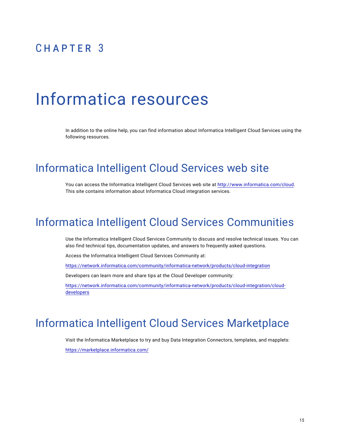# <span id="page-14-0"></span> $CHAPTER$  3

# Informatica resources

In addition to the online help, you can find information about Informatica Intelligent Cloud Services using the following resources.

#### Informatica Intelligent Cloud Services web site

You can access the Informatica Intelligent Cloud Services web site at <http://www.informatica.com/cloud>. This site contains information about Informatica Cloud integration services.

#### Informatica Intelligent Cloud Services Communities

Use the Informatica Intelligent Cloud Services Community to discuss and resolve technical issues. You can also find technical tips, documentation updates, and answers to frequently asked questions.

Access the Informatica Intelligent Cloud Services Community at:

<https://network.informatica.com/community/informatica-network/products/cloud-integration>

Developers can learn more and share tips at the Cloud Developer community:

[https://network.informatica.com/community/informatica-network/products/cloud-integration/cloud](https://network.informatica.com/community/informatica-network/products/cloud-integration/cloud-developers)[developers](https://network.informatica.com/community/informatica-network/products/cloud-integration/cloud-developers)

### Informatica Intelligent Cloud Services Marketplace

Visit the Informatica Marketplace to try and buy Data Integration Connectors, templates, and mapplets:

<https://marketplace.informatica.com/>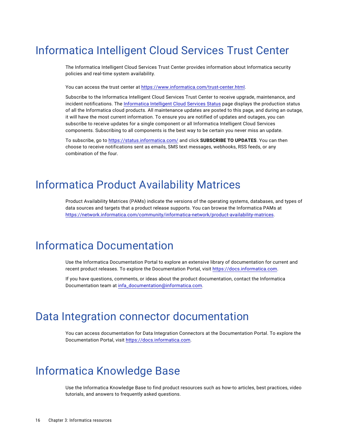## <span id="page-15-0"></span>Informatica Intelligent Cloud Services Trust Center

The Informatica Intelligent Cloud Services Trust Center provides information about Informatica security policies and real-time system availability.

You can access the trust center at [https://www.informatica.com/trust-center.html.](https://www.informatica.com/trust-center.html)

Subscribe to the Informatica Intelligent Cloud Services Trust Center to receive upgrade, maintenance, and incident notifications. The [Informatica](https://status.informatica.com/) Intelligent Cloud Services Status page displays the production status of all the Informatica cloud products. All maintenance updates are posted to this page, and during an outage, it will have the most current information. To ensure you are notified of updates and outages, you can subscribe to receive updates for a single component or all Informatica Intelligent Cloud Services components. Subscribing to all components is the best way to be certain you never miss an update.

To subscribe, go to<https://status.informatica.com/> and click **SUBSCRIBE TO UPDATES**. You can then choose to receive notifications sent as emails, SMS text messages, webhooks, RSS feeds, or any combination of the four.

### Informatica Product Availability Matrices

Product Availability Matrices (PAMs) indicate the versions of the operating systems, databases, and types of data sources and targets that a product release supports. You can browse the Informatica PAMs at [https://network.informatica.com/community/informatica-network/product-availability-matrices.](https://network.informatica.com/community/informatica-network/product-availability-matrices)

# Informatica Documentation

Use the Informatica Documentation Portal to explore an extensive library of documentation for current and recent product releases. To explore the Documentation Portal, visit <https://docs.informatica.com>.

If you have questions, comments, or ideas about the product documentation, contact the Informatica Documentation team at [infa\\_documentation@informatica.com.](mailto:infa_documentation@informatica.com)

#### Data Integration connector documentation

You can access documentation for Data Integration Connectors at the Documentation Portal. To explore the Documentation Portal, visit [https://docs.informatica.com.](https://docs.informatica.com)

### Informatica Knowledge Base

Use the Informatica Knowledge Base to find product resources such as how-to articles, best practices, video tutorials, and answers to frequently asked questions.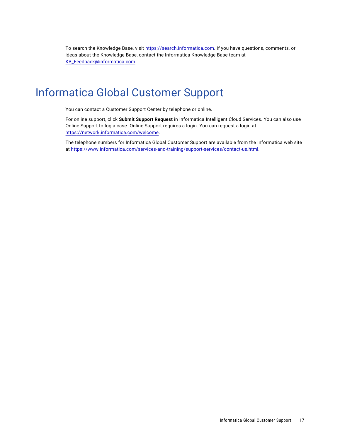<span id="page-16-0"></span>To search the Knowledge Base, visit [https://search.informatica.com.](http://search.informatica.com) If you have questions, comments, or ideas about the Knowledge Base, contact the Informatica Knowledge Base team at [KB\\_Feedback@informatica.com.](mailto:KB_Feedback@informatica.com)

## Informatica Global Customer Support

You can contact a Customer Support Center by telephone or online.

For online support, click **Submit Support Request** in Informatica Intelligent Cloud Services. You can also use Online Support to log a case. Online Support requires a login. You can request a login at [https://network.informatica.com/welcome.](https://network.informatica.com/welcome)

The telephone numbers for Informatica Global Customer Support are available from the Informatica web site at <https://www.informatica.com/services-and-training/support-services/contact-us.html>.